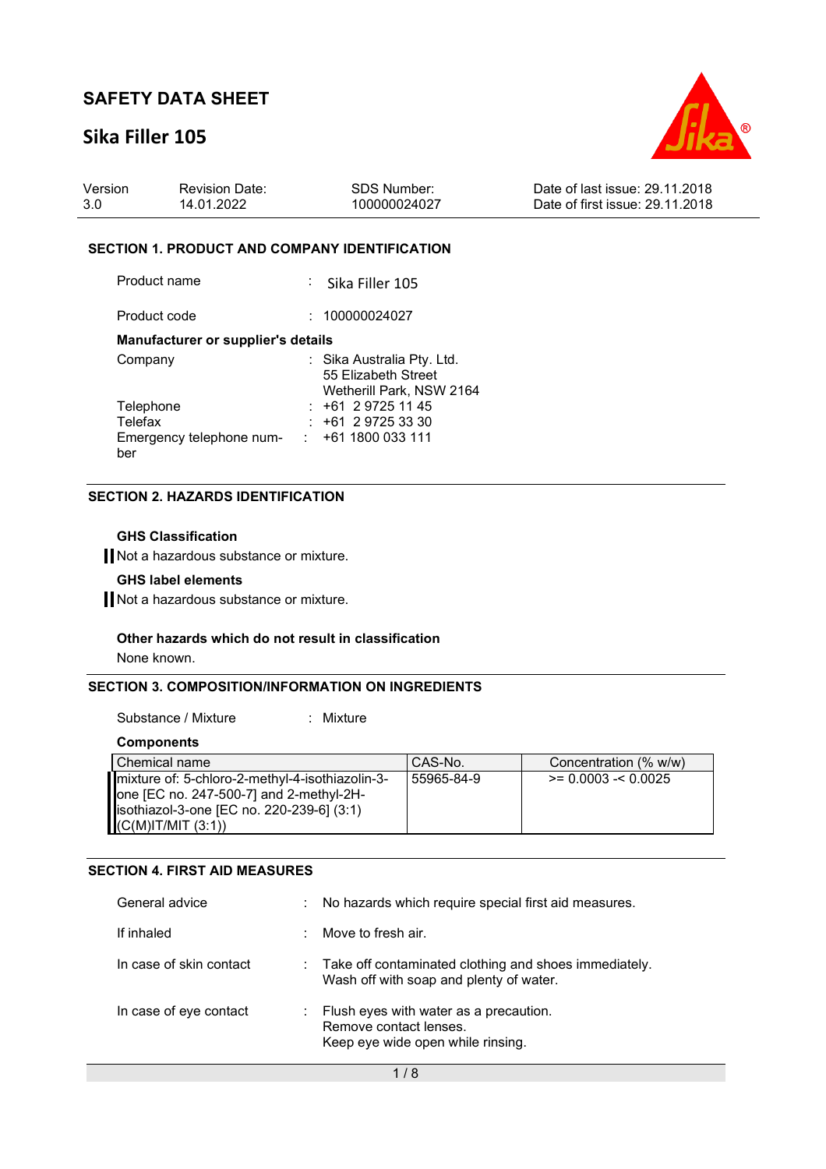## **Sika Filler 105**



| Version | <b>Revision Date:</b> | SDS Number:  | Date of last issue: 29.11.2018  |
|---------|-----------------------|--------------|---------------------------------|
| 3.0     | 14.01.2022            | 100000024027 | Date of first issue: 29.11.2018 |

#### **SECTION 1. PRODUCT AND COMPANY IDENTIFICATION**

Product name : Sika Filler 105

Product code : 100000024027

#### **Manufacturer or supplier's details**

| Company                  | : Sika Australia Pty. Ltd. |
|--------------------------|----------------------------|
|                          | 55 Elizabeth Street        |
|                          | Wetherill Park, NSW 2164   |
| Telephone                | $: +61297251145$           |
| Telefax                  | $: +61297253330$           |
| Emergency telephone num- | $: +611800033111$          |
| ber                      |                            |

#### **SECTION 2. HAZARDS IDENTIFICATION**

#### **GHS Classification**

Not a hazardous substance or mixture.

#### **GHS label elements**

Not a hazardous substance or mixture.

#### **Other hazards which do not result in classification**

None known.

#### **SECTION 3. COMPOSITION/INFORMATION ON INGREDIENTS**

Substance / Mixture : Mixture

**Components** 

| l Chemical name                                                                                                                                                                      | CAS-No.    | Concentration (% w/w)     |
|--------------------------------------------------------------------------------------------------------------------------------------------------------------------------------------|------------|---------------------------|
| mixture of: 5-chloro-2-methyl-4-isothiazolin-3-<br>$\blacksquare$ one [EC no. 247-500-7] and 2-methyl-2H-<br>  isothiazol-3-one [EC no. 220-239-6] (3:1)<br>$(C(M)$ IT/MIT $(3:1)$ ) | 55965-84-9 | $\ge$ = 0.0003 - < 0.0025 |

#### **SECTION 4. FIRST AID MEASURES**

| General advice          | ÷ | No hazards which require special first aid measures.                                                  |
|-------------------------|---|-------------------------------------------------------------------------------------------------------|
| If inhaled              |   | Move to fresh air.                                                                                    |
| In case of skin contact |   | Take off contaminated clothing and shoes immediately.<br>Wash off with soap and plenty of water.      |
| In case of eye contact  |   | Flush eyes with water as a precaution.<br>Remove contact lenses.<br>Keep eye wide open while rinsing. |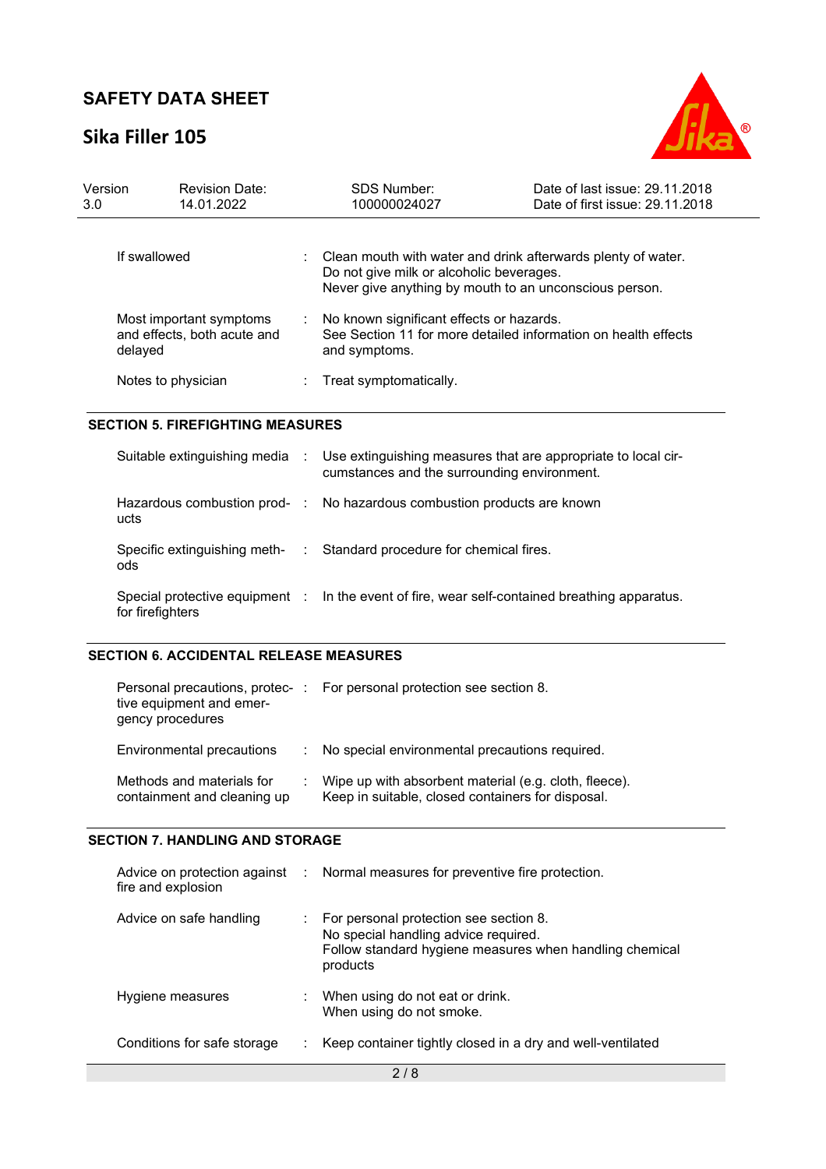## **Sika Filler 105**



| Version<br>3.0                          | <b>Revision Date:</b><br>14.01.2022                               |               | <b>SDS Number:</b><br>100000024027                                                                                                                                 | Date of last issue: 29.11.2018<br>Date of first issue: 29.11.2018 |
|-----------------------------------------|-------------------------------------------------------------------|---------------|--------------------------------------------------------------------------------------------------------------------------------------------------------------------|-------------------------------------------------------------------|
|                                         | If swallowed                                                      |               | Clean mouth with water and drink afterwards plenty of water.<br>Do not give milk or alcoholic beverages.<br>Never give anything by mouth to an unconscious person. |                                                                   |
|                                         | Most important symptoms<br>and effects, both acute and<br>delayed |               | No known significant effects or hazards.<br>See Section 11 for more detailed information on health effects<br>and symptoms.                                        |                                                                   |
|                                         | Notes to physician                                                |               | Treat symptomatically.                                                                                                                                             |                                                                   |
| <b>SECTION 5. FIREFIGHTING MEASURES</b> |                                                                   |               |                                                                                                                                                                    |                                                                   |
|                                         | Suitable extinguishing media :                                    |               | Use extinguishing measures that are appropriate to local cir-<br>cumstances and the surrounding environment.                                                       |                                                                   |
|                                         | ucts                                                              |               | Hazardous combustion prod- : No hazardous combustion products are known                                                                                            |                                                                   |
|                                         | Specific extinguishing meth-<br>ods                               | $\Delta \sim$ | Standard procedure for chemical fires.                                                                                                                             |                                                                   |
|                                         | Special protective equipment :<br>for firefighters                |               | In the event of fire, wear self-contained breathing apparatus.                                                                                                     |                                                                   |

#### **SECTION 6. ACCIDENTAL RELEASE MEASURES**

| tive equipment and emer-<br>gency procedures             | Personal precautions, protec-: For personal protection see section 8.                                      |
|----------------------------------------------------------|------------------------------------------------------------------------------------------------------------|
| Environmental precautions                                | : No special environmental precautions required.                                                           |
| Methods and materials for<br>containment and cleaning up | Wipe up with absorbent material (e.g. cloth, fleece).<br>Keep in suitable, closed containers for disposal. |

#### **SECTION 7. HANDLING AND STORAGE**

| fire and explosion          | Advice on protection against : Normal measures for preventive fire protection.                                                                        |
|-----------------------------|-------------------------------------------------------------------------------------------------------------------------------------------------------|
| Advice on safe handling     | For personal protection see section 8.<br>No special handling advice required.<br>Follow standard hygiene measures when handling chemical<br>products |
| Hygiene measures            | : When using do not eat or drink.<br>When using do not smoke.                                                                                         |
| Conditions for safe storage | Keep container tightly closed in a dry and well-ventilated                                                                                            |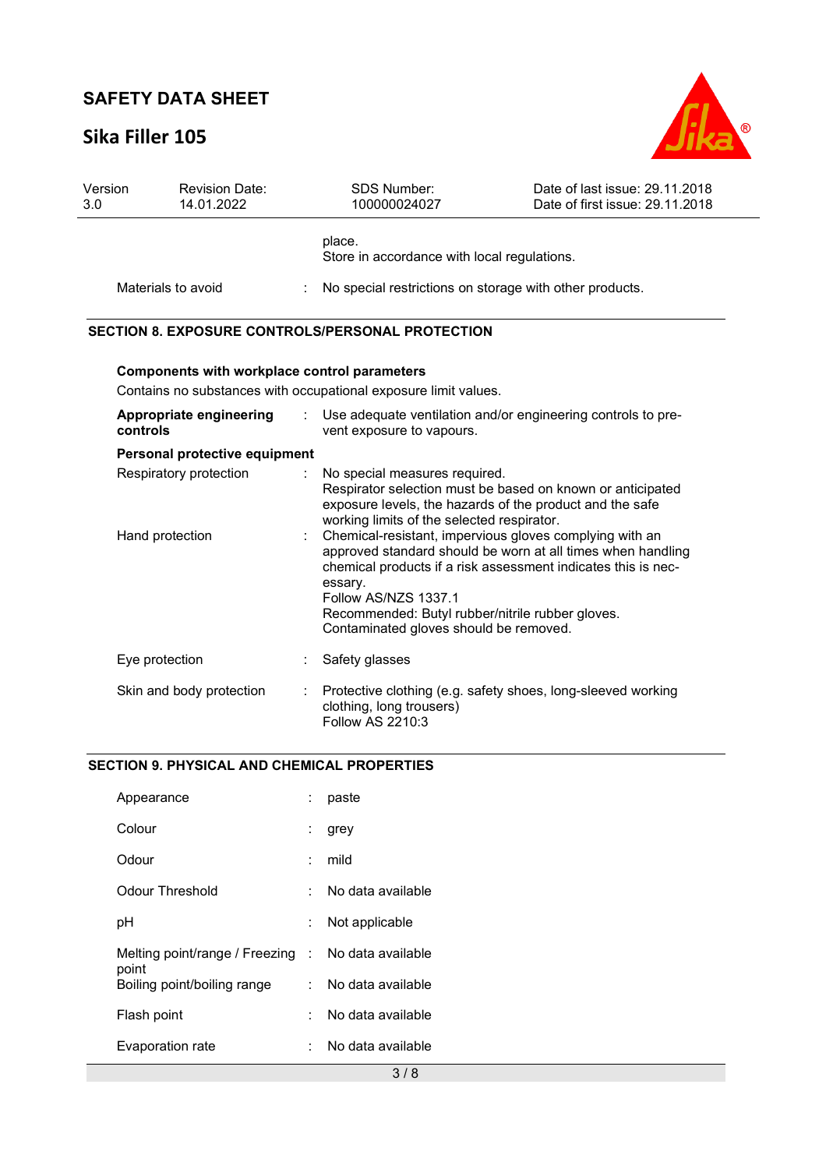# **Sika Filler 105**



| Version<br>3.0 | <b>Revision Date:</b><br>14.01.2022                 | <b>SDS Number:</b><br>100000024027                                                                                                                                                       | Date of last issue: 29.11.2018<br>Date of first issue: 29.11.2018                                                            |
|----------------|-----------------------------------------------------|------------------------------------------------------------------------------------------------------------------------------------------------------------------------------------------|------------------------------------------------------------------------------------------------------------------------------|
|                |                                                     | place.<br>Store in accordance with local regulations.                                                                                                                                    |                                                                                                                              |
|                | Materials to avoid                                  | No special restrictions on storage with other products.                                                                                                                                  |                                                                                                                              |
|                |                                                     | <b>SECTION 8. EXPOSURE CONTROLS/PERSONAL PROTECTION</b>                                                                                                                                  |                                                                                                                              |
|                | <b>Components with workplace control parameters</b> | Contains no substances with occupational exposure limit values.                                                                                                                          |                                                                                                                              |
|                | Appropriate engineering<br>controls                 | vent exposure to vapours.                                                                                                                                                                | Use adequate ventilation and/or engineering controls to pre-                                                                 |
|                | Personal protective equipment                       |                                                                                                                                                                                          |                                                                                                                              |
|                | Respiratory protection                              | No special measures required.<br>exposure levels, the hazards of the product and the safe<br>working limits of the selected respirator.                                                  | Respirator selection must be based on known or anticipated                                                                   |
|                | Hand protection                                     | Chemical-resistant, impervious gloves complying with an<br>essary.<br>Follow AS/NZS 1337.1<br>Recommended: Butyl rubber/nitrile rubber gloves.<br>Contaminated gloves should be removed. | approved standard should be worn at all times when handling<br>chemical products if a risk assessment indicates this is nec- |
|                | Eye protection                                      | Safety glasses                                                                                                                                                                           |                                                                                                                              |
|                | Skin and body protection                            | Protective clothing (e.g. safety shoes, long-sleeved working<br>clothing, long trousers)<br>Follow AS 2210:3                                                                             |                                                                                                                              |

#### **SECTION 9. PHYSICAL AND CHEMICAL PROPERTIES**

| Appearance                                         |   | paste             |
|----------------------------------------------------|---|-------------------|
| Colour                                             | ÷ | grey              |
| Odour                                              |   | mild              |
| Odour Threshold                                    |   | No data available |
| pH                                                 |   | Not applicable    |
| Melting point/range / Freezing : No data available |   |                   |
| point<br>Boiling point/boiling range               |   | No data available |
| Flash point                                        |   | No data available |
| Evaporation rate                                   |   | No data available |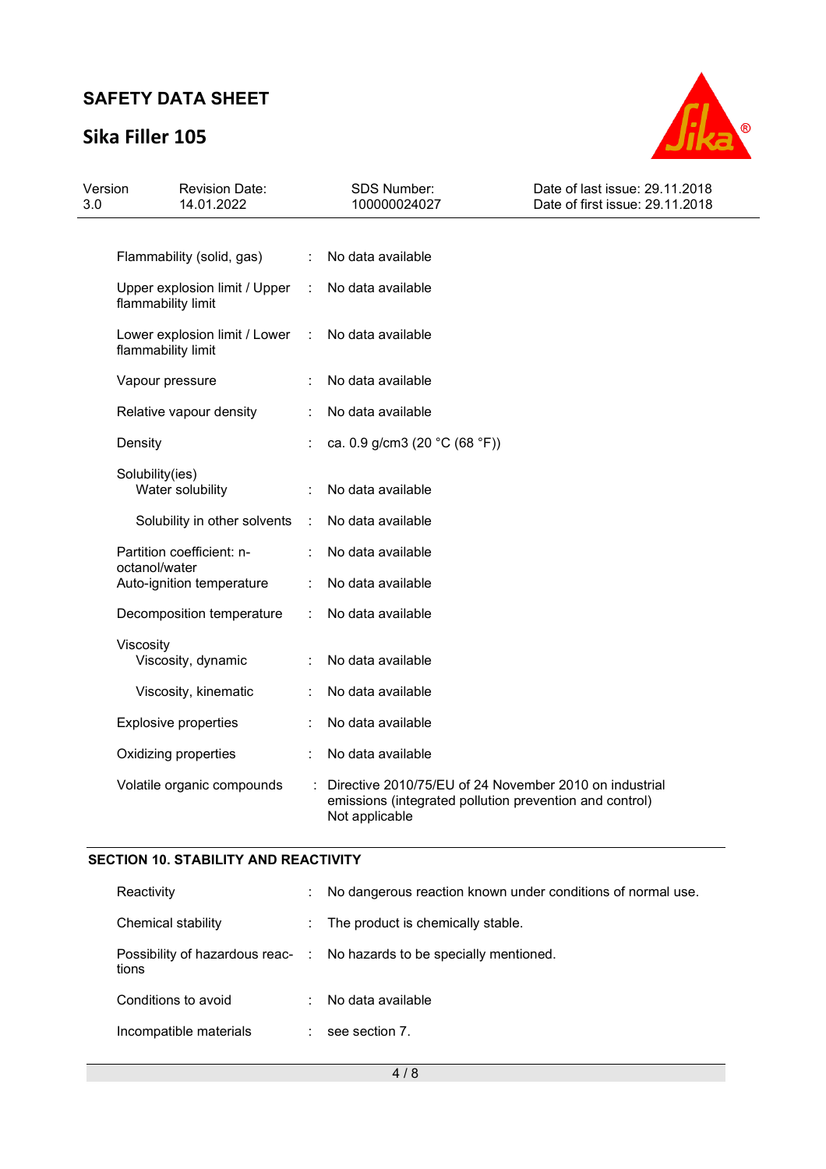# **Sika Filler 105**



| Version<br>3.0 | <b>Revision Date:</b><br>14.01.2022                 |                      | <b>SDS Number:</b><br>100000024027                                                                                                  | Date of last issue: 29.11.2018<br>Date of first issue: 29.11.2018 |
|----------------|-----------------------------------------------------|----------------------|-------------------------------------------------------------------------------------------------------------------------------------|-------------------------------------------------------------------|
|                |                                                     |                      |                                                                                                                                     |                                                                   |
|                | Flammability (solid, gas)                           | $\ddot{\phantom{a}}$ | No data available                                                                                                                   |                                                                   |
|                | Upper explosion limit / Upper<br>flammability limit | ÷                    | No data available                                                                                                                   |                                                                   |
|                | Lower explosion limit / Lower<br>flammability limit | ÷                    | No data available                                                                                                                   |                                                                   |
|                | Vapour pressure                                     |                      | No data available                                                                                                                   |                                                                   |
|                | Relative vapour density                             |                      | No data available                                                                                                                   |                                                                   |
|                | Density                                             |                      | ca. 0.9 g/cm3 (20 $°C$ (68 °F))                                                                                                     |                                                                   |
|                | Solubility(ies)<br>Water solubility                 |                      | No data available                                                                                                                   |                                                                   |
|                | Solubility in other solvents                        | ÷                    | No data available                                                                                                                   |                                                                   |
|                | Partition coefficient: n-<br>octanol/water          |                      | No data available                                                                                                                   |                                                                   |
|                | Auto-ignition temperature                           |                      | No data available                                                                                                                   |                                                                   |
|                | Decomposition temperature                           |                      | No data available                                                                                                                   |                                                                   |
|                | Viscosity<br>Viscosity, dynamic                     |                      | No data available                                                                                                                   |                                                                   |
|                | Viscosity, kinematic                                |                      | No data available                                                                                                                   |                                                                   |
|                | <b>Explosive properties</b>                         |                      | No data available                                                                                                                   |                                                                   |
|                | Oxidizing properties                                |                      | No data available                                                                                                                   |                                                                   |
|                | Volatile organic compounds                          |                      | Directive 2010/75/EU of 24 November 2010 on industrial<br>emissions (integrated pollution prevention and control)<br>Not applicable |                                                                   |

### **SECTION 10. STABILITY AND REACTIVITY**

| Reactivity             | t.            | No dangerous reaction known under conditions of normal use.            |
|------------------------|---------------|------------------------------------------------------------------------|
| Chemical stability     | ÷.            | The product is chemically stable.                                      |
| tions                  |               | Possibility of hazardous reac- : No hazards to be specially mentioned. |
| Conditions to avoid    | $\mathcal{L}$ | No data available                                                      |
| Incompatible materials |               | see section 7.                                                         |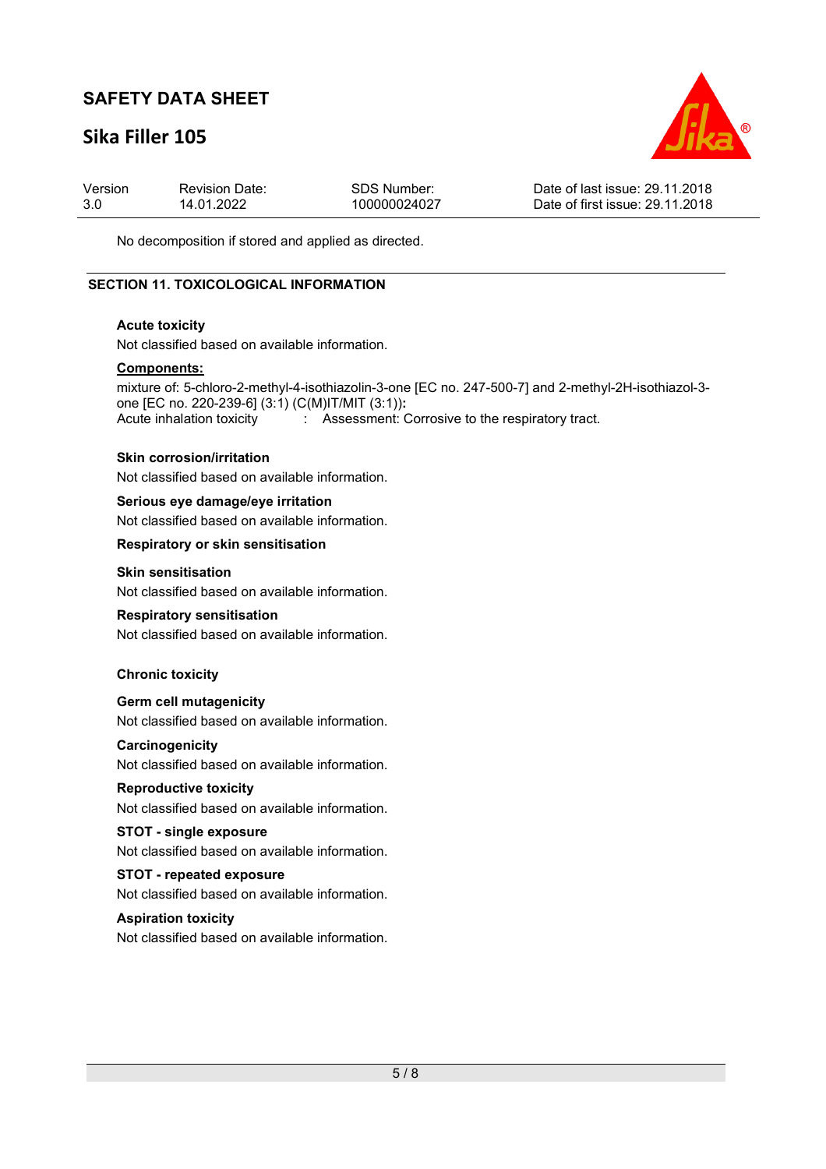## **Sika Filler 105**



| Version | <b>Revision Date:</b> | SDS Number:  | Date of last issue: 29.11.2018  |
|---------|-----------------------|--------------|---------------------------------|
| 3.0     | 14.01.2022            | 100000024027 | Date of first issue: 29.11.2018 |

No decomposition if stored and applied as directed.

#### **SECTION 11. TOXICOLOGICAL INFORMATION**

#### **Acute toxicity**

Not classified based on available information.

#### **Components:**

mixture of: 5-chloro-2-methyl-4-isothiazolin-3-one [EC no. 247-500-7] and 2-methyl-2H-isothiazol-3 one [EC no. 220-239-6] (3:1) (C(M)IT/MIT (3:1))**:**  Acute inhalation toxicity : Assessment: Corrosive to the respiratory tract.

#### **Skin corrosion/irritation**

Not classified based on available information.

#### **Serious eye damage/eye irritation**

Not classified based on available information.

#### **Respiratory or skin sensitisation**

#### **Skin sensitisation**

Not classified based on available information.

#### **Respiratory sensitisation**

Not classified based on available information.

#### **Chronic toxicity**

**Germ cell mutagenicity**  Not classified based on available information.

#### **Carcinogenicity**

Not classified based on available information.

#### **Reproductive toxicity**

Not classified based on available information.

#### **STOT - single exposure**

Not classified based on available information.

#### **STOT - repeated exposure**

Not classified based on available information.

#### **Aspiration toxicity**

Not classified based on available information.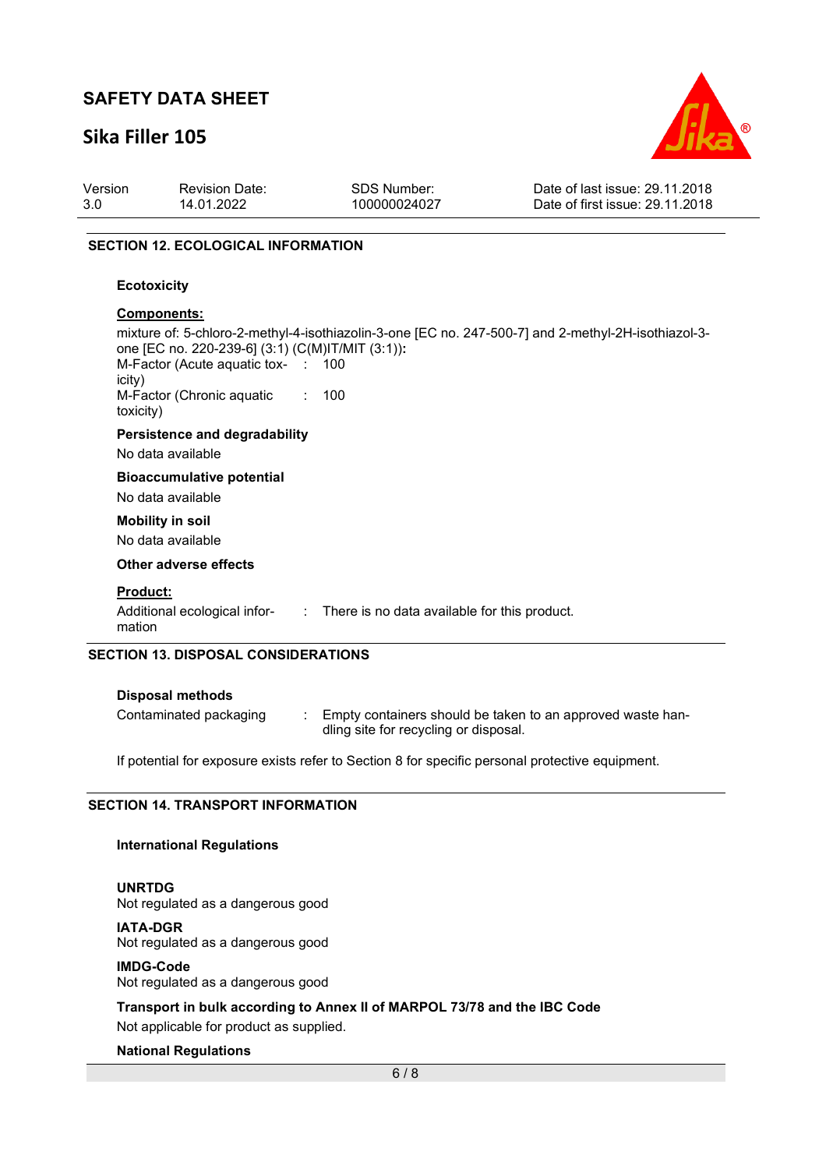## **Sika Filler 105**



| Version | <b>Revision Date:</b> | <b>SDS Number:</b> | Date of last issue: 29.11.2018  |
|---------|-----------------------|--------------------|---------------------------------|
| 3.0     | 14.01.2022            | 100000024027       | Date of first issue: 29.11.2018 |

#### **SECTION 12. ECOLOGICAL INFORMATION**

#### **Ecotoxicity**

#### **Components:**

|                                                  |                              | mixture of: 5-chloro-2-methyl-4-isothiazolin-3-one [EC no. 247-500-7] and 2-methyl-2H-isothiazol-3- |
|--------------------------------------------------|------------------------------|-----------------------------------------------------------------------------------------------------|
| one [EC no. 220-239-6] (3:1) (C(M)IT/MIT (3:1)): |                              |                                                                                                     |
| M-Factor (Acute aquatic tox- : 100<br>icity)     |                              |                                                                                                     |
| M-Factor (Chronic aquatic<br>toxicity)           | $\mathcal{L}_{\mathrm{max}}$ | 100                                                                                                 |
| <b>Persistence and degradability</b>             |                              |                                                                                                     |
| No data available                                |                              |                                                                                                     |
| <b>Bioaccumulative potential</b>                 |                              |                                                                                                     |
| No data available                                |                              |                                                                                                     |
| <b>Mobility in soil</b>                          |                              |                                                                                                     |
| No data available                                |                              |                                                                                                     |
| Other adverse effects                            |                              |                                                                                                     |
| <b>Product:</b>                                  |                              |                                                                                                     |
| mation                                           |                              | Additional ecological infor- : There is no data available for this product.                         |
| <b>SECTION 13. DISPOSAL CONSIDERATIONS</b>       |                              |                                                                                                     |

| <b>Disposal methods</b> |                                                                                                     |
|-------------------------|-----------------------------------------------------------------------------------------------------|
| Contaminated packaging  | Empty containers should be taken to an approved waste han-<br>dling site for recycling or disposal. |

If potential for exposure exists refer to Section 8 for specific personal protective equipment.

#### **SECTION 14. TRANSPORT INFORMATION**

#### **International Regulations**

**UNRTDG** Not regulated as a dangerous good

## **IATA-DGR**

Not regulated as a dangerous good

#### **IMDG-Code**

Not regulated as a dangerous good

**Transport in bulk according to Annex II of MARPOL 73/78 and the IBC Code**  Not applicable for product as supplied.

#### **National Regulations**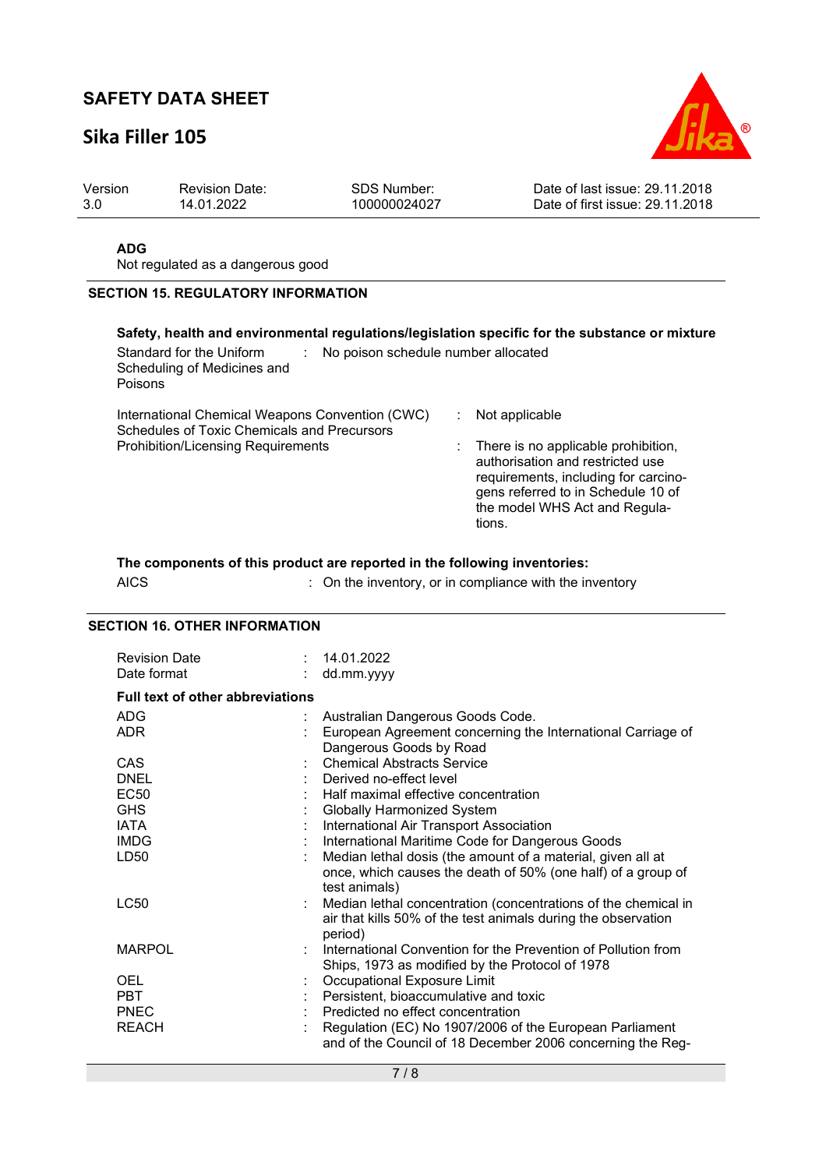## **Sika Filler 105**



| Version | <b>Revision Date:</b> | <b>SDS Number:</b> | Date of last issue: 29.11.2018  |
|---------|-----------------------|--------------------|---------------------------------|
| -3.0    | 14.01.2022            | 100000024027       | Date of first issue: 29.11.2018 |

#### **ADG**

Not regulated as a dangerous good

#### **SECTION 15. REGULATORY INFORMATION**

#### **Safety, health and environmental regulations/legislation specific for the substance or mixture**

| Standard for the Uniform<br>Scheduling of Medicines and<br>Poisons                                                                          | No poison schedule number allocated |                                                                                                                                                                                                                      |  |  |
|---------------------------------------------------------------------------------------------------------------------------------------------|-------------------------------------|----------------------------------------------------------------------------------------------------------------------------------------------------------------------------------------------------------------------|--|--|
| International Chemical Weapons Convention (CWC)<br>Schedules of Toxic Chemicals and Precursors<br><b>Prohibition/Licensing Requirements</b> |                                     | Not applicable<br>: There is no applicable prohibition,<br>authorisation and restricted use<br>requirements, including for carcino-<br>gens referred to in Schedule 10 of<br>the model WHS Act and Regula-<br>tions. |  |  |

#### **The components of this product are reported in the following inventories:**

| AICS | : On the inventory, or in compliance with the inventory |
|------|---------------------------------------------------------|
|------|---------------------------------------------------------|

#### **SECTION 16. OTHER INFORMATION**

| <b>Revision Date</b><br>Date format                                            |   | 14.01.2022<br>dd.mm.yyyy                                                                                                                                                                                                                                                                                                                                                         |
|--------------------------------------------------------------------------------|---|----------------------------------------------------------------------------------------------------------------------------------------------------------------------------------------------------------------------------------------------------------------------------------------------------------------------------------------------------------------------------------|
| <b>Full text of other abbreviations</b>                                        |   |                                                                                                                                                                                                                                                                                                                                                                                  |
| <b>ADG</b><br><b>ADR</b>                                                       | ÷ | Australian Dangerous Goods Code.<br>European Agreement concerning the International Carriage of<br>Dangerous Goods by Road                                                                                                                                                                                                                                                       |
| CAS<br><b>DNEL</b><br><b>EC50</b><br><b>GHS</b><br>IATA<br><b>IMDG</b><br>LD50 |   | <b>Chemical Abstracts Service</b><br>Derived no-effect level<br>Half maximal effective concentration<br>Globally Harmonized System<br>International Air Transport Association<br>International Maritime Code for Dangerous Goods<br>Median lethal dosis (the amount of a material, given all at<br>once, which causes the death of 50% (one half) of a group of<br>test animals) |
| <b>LC50</b>                                                                    |   | Median lethal concentration (concentrations of the chemical in<br>air that kills 50% of the test animals during the observation<br>period)                                                                                                                                                                                                                                       |
| <b>MARPOL</b>                                                                  |   | International Convention for the Prevention of Pollution from<br>Ships, 1973 as modified by the Protocol of 1978                                                                                                                                                                                                                                                                 |
| <b>OEL</b><br><b>PBT</b><br><b>PNEC</b><br><b>REACH</b>                        |   | Occupational Exposure Limit<br>Persistent, bioaccumulative and toxic<br>Predicted no effect concentration<br>Regulation (EC) No 1907/2006 of the European Parliament<br>and of the Council of 18 December 2006 concerning the Reg-                                                                                                                                               |